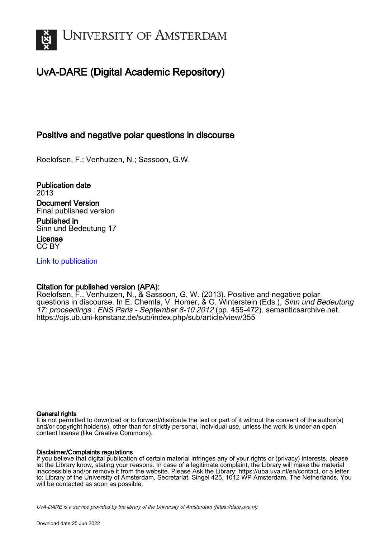

# UvA-DARE (Digital Academic Repository)

# Positive and negative polar questions in discourse

Roelofsen, F.; Venhuizen, N.; Sassoon, G.W.

Publication date 2013 Document Version Final published version Published in

Sinn und Bedeutung 17

License CC BY

[Link to publication](https://dare.uva.nl/personal/pure/en/publications/positive-and-negative-polar-questions-in-discourse(dda1c07a-e3ce-4297-a4e7-1b580962dad0).html)

#### Citation for published version (APA):

Roelofsen, F., Venhuizen, N., & Sassoon, G. W. (2013). Positive and negative polar questions in discourse. In E. Chemla, V. Homer, & G. Winterstein (Eds.), Sinn und Bedeutung 17: proceedings : ENS Paris - September 8-10 2012 (pp. 455-472). semanticsarchive.net. <https://ojs.ub.uni-konstanz.de/sub/index.php/sub/article/view/355>

#### General rights

It is not permitted to download or to forward/distribute the text or part of it without the consent of the author(s) and/or copyright holder(s), other than for strictly personal, individual use, unless the work is under an open content license (like Creative Commons).

#### Disclaimer/Complaints regulations

If you believe that digital publication of certain material infringes any of your rights or (privacy) interests, please let the Library know, stating your reasons. In case of a legitimate complaint, the Library will make the material inaccessible and/or remove it from the website. Please Ask the Library: https://uba.uva.nl/en/contact, or a letter to: Library of the University of Amsterdam, Secretariat, Singel 425, 1012 WP Amsterdam, The Netherlands. You will be contacted as soon as possible.

UvA-DARE is a service provided by the library of the University of Amsterdam (http*s*://dare.uva.nl)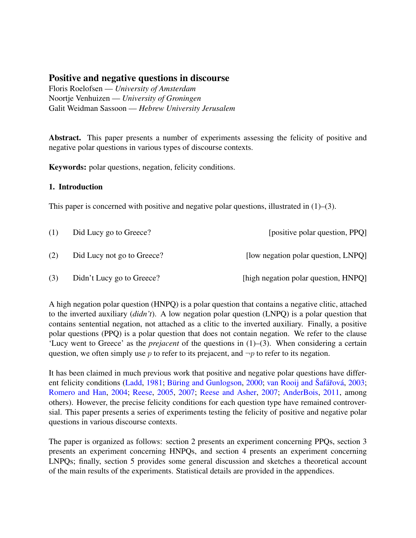# Positive and negative questions in discourse

Floris Roelofsen — University of Amsterdam Noortje Venhuizen — University of Groningen Galit Weidman Sassoon - Hebrew University Jerusalem

**Abstract.** This paper presents a number of experiments assessing the felicity of positive and negative polar questions in various types of discourse contexts.

**Keywords:** polar questions, negation, felicity conditions.

#### 1. Introduction

This paper is concerned with positive and negative polar questions, illustrated in  $(1)$ – $(3)$ .

| (1) | Did Lucy go to Greece?     | [positive polar question, PPQ]       |
|-----|----------------------------|--------------------------------------|
| (2) | Did Lucy not go to Greece? | [low negation polar question, LNPQ]  |
| (3) | Didn't Lucy go to Greece?  | [high negation polar question, HNPQ] |

A high negation polar question (HNPQ) is a polar question that contains a negative clitic, attached to the inverted auxiliary  $(didn't)$ . A low negation polar question (LNPQ) is a polar question that contains sentential negation, not attached as a clitic to the inverted auxiliary. Finally, a positive polar questions (PPQ) is a polar question that does not contain negation. We refer to the clause 'Lucy went to Greece' as the *prejacent* of the questions in  $(1)$ – $(3)$ . When considering a certain question, we often simply use p to refer to its prejacent, and  $\neg p$  to refer to its negation.

It has been claimed in much previous work that positive and negative polar questions have different felicity conditions (Ladd, 1981; Büring and Gunlogson, 2000; van Rooij and Šafářová, 2003; Romero and Han, 2004; Reese, 2005, 2007; Reese and Asher, 2007; AnderBois, 2011, among others). However, the precise felicity conditions for each question type have remained controversial. This paper presents a series of experiments testing the felicity of positive and negative polar questions in various discourse contexts.

The paper is organized as follows: section 2 presents an experiment concerning PPOs, section 3 presents an experiment concerning HNPQs, and section 4 presents an experiment concerning LNPQs; finally, section 5 provides some general discussion and sketches a theoretical account of the main results of the experiments. Statistical details are provided in the appendices.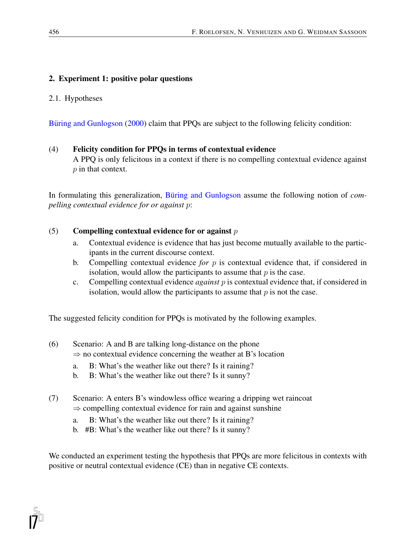# 2. Experiment 1: positive polar questions

#### 2.1. Hypotheses

Buring and Gunlogson (2000) claim that PPQs are subject to the following felicity condition:

#### (4) Felicity condition for PPQs in terms of contextual evidence

A PPQ is only felicitous in a context if there is no compelling contextual evidence against p in that context.

In formulating this generalization, Büring and Gunlogson assume the following notion of *compelling contextual evidence for or against* p:

#### (5) Compelling contextual evidence for or against  $p$

- a. Contextual evidence is evidence that has just become mutually available to the participants in the current discourse context.
- b. Compelling contextual evidence *for* p is contextual evidence that, if considered in isolation, would allow the participants to assume that  $p$  is the case.
- c. Compelling contextual evidence *against* p is contextual evidence that, if considered in isolation, would allow the participants to assume that  $p$  is not the case.

The suggested felicity condition for PPQs is motivated by the following examples.

- (6) Scenario: A and B are talking long-distance on the phone  $\Rightarrow$  no contextual evidence concerning the weather at B's location
	- a. B: What's the weather like out there? Is it raining?
	- b. B: What's the weather like out there? Is it sunny?
- (7) Scenario: A enters B's windowless office wearing a dripping wet raincoat  $\Rightarrow$  compelling contextual evidence for rain and against sunshine
	- a. B: What's the weather like out there? Is it raining?
	- b. #B: What's the weather like out there? Is it sunny?

We conducted an experiment testing the hypothesis that PPQs are more felicitous in contexts with positive or neutral contextual evidence (CE) than in negative CE contexts.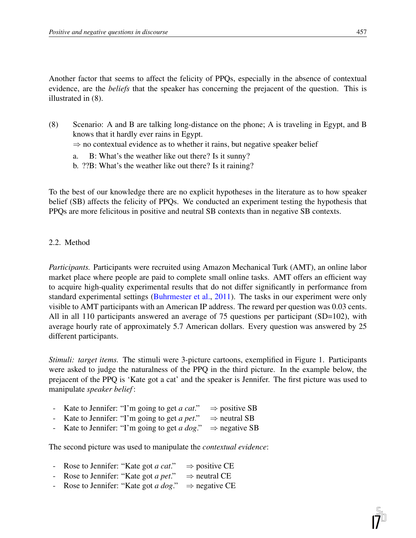Another factor that seems to affect the felicity of PPQs, especially in the absence of contextual evidence, are the *beliefs* that the speaker has concerning the prejacent of the question. This is illustrated in (8).

- (8) Scenario: A and B are talking long-distance on the phone; A is traveling in Egypt, and B knows that it hardly ever rains in Egypt.  $\Rightarrow$  no contextual evidence as to whether it rains, but negative speaker belief
	- a. B: What's the weather like out there? Is it sunny?
	- b. ??B: What's the weather like out there? Is it raining?

To the best of our knowledge there are no explicit hypotheses in the literature as to how speaker belief (SB) affects the felicity of PPQs. We conducted an experiment testing the hypothesis that PPQs are more felicitous in positive and neutral SB contexts than in negative SB contexts.

#### 2.2. Method

*Participants.* Participants were recruited using Amazon Mechanical Turk (AMT), an online labor market place where people are paid to complete small online tasks. AMT offers an efficient way to acquire high-quality experimental results that do not differ significantly in performance from standard experimental settings (Buhrmester et al., 2011). The tasks in our experiment were only visible to AMT participants with an American IP address. The reward per question was 0.03 cents. All in all 110 participants answered an average of 75 questions per participant (SD=102), with average hourly rate of approximately 5.7 American dollars. Every question was answered by 25 different participants.

*Stimuli: target items.* The stimuli were 3-picture cartoons, exemplified in Figure 1. Participants were asked to judge the naturalness of the PPQ in the third picture. In the example below, the prejacent of the PPQ is 'Kate got a cat' and the speaker is Jennifer. The first picture was used to manipulate *speaker belief* :

- Kate to Jennifer: "I'm going to get *a cat*."  $\Rightarrow$  positive SB<br>- Kate to Jennifer: "I'm going to get *a pet*."  $\Rightarrow$  neutral SB
- Kate to Jennifer: "I'm going to get *a pet*."  $\Rightarrow$  neutral SB<br>Kate to Jennifer: "I'm going to get *a dog*."  $\Rightarrow$  negative SB
- Kate to Jennifer: "I'm going to get *a dog*."

The second picture was used to manipulate the *contextual evidence*:

- Rose to Jennifer: "Kate got *a cat.*"  $\Rightarrow$  positive CE<br>- Rose to Jennifer: "Kate got *a pet.*"  $\Rightarrow$  neutral CE
- Rose to Jennifer: "Kate got *a pet*."  $\Rightarrow$  neutral CE<br>- Rose to Jennifer: "Kate got *a dog*."  $\Rightarrow$  negative CE
- Rose to Jennifer: "Kate got *a dog*."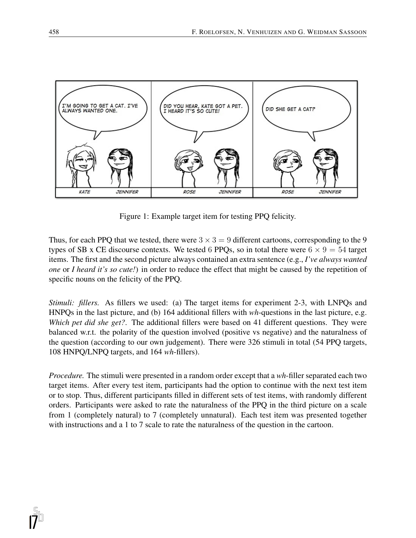

Figure 1: Example target item for testing PPQ felicity.

Thus, for each PPQ that we tested, there were  $3 \times 3 = 9$  different cartoons, corresponding to the 9 types of SB x CE discourse contexts. We tested 6 PPQs, so in total there were  $6 \times 9 = 54$  target items. The first and the second picture always contained an extra sentence (e.g., *I've always wanted one* or *I heard it's so cute!*) in order to reduce the effect that might be caused by the repetition of specific nouns on the felicity of the PPQ.

*Stimuli: fillers.* As fillers we used: (a) The target items for experiment 2-3, with LNPQs and HNPQs in the last picture, and (b) 164 additional fillers with *wh*-questions in the last picture, e.g. *Which pet did she get?*. The additional fillers were based on 41 different questions. They were balanced w.r.t. the polarity of the question involved (positive vs negative) and the naturalness of the question (according to our own judgement). There were 326 stimuli in total (54 PPQ targets, 108 HNPQ/LNPQ targets, and 164 *wh*-fillers).

*Procedure.* The stimuli were presented in a random order except that a *wh*-filler separated each two target items. After every test item, participants had the option to continue with the next test item or to stop. Thus, different participants filled in different sets of test items, with randomly different orders. Participants were asked to rate the naturalness of the PPQ in the third picture on a scale from 1 (completely natural) to 7 (completely unnatural). Each test item was presented together with instructions and a 1 to 7 scale to rate the naturalness of the question in the cartoon.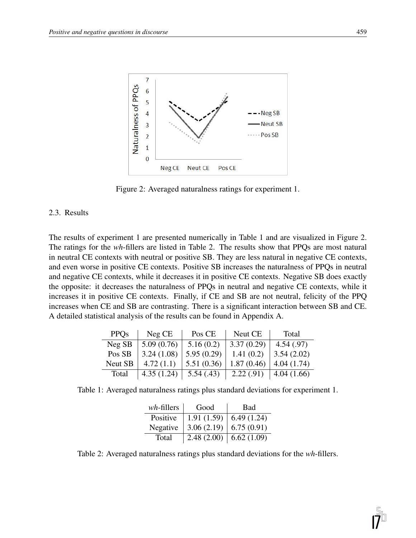

Figure 2: Averaged naturalness ratings for experiment 1.

#### 2.3. Results

The results of experiment 1 are presented numerically in Table 1 and are visualized in Figure 2. The ratings for the *wh*-fillers are listed in Table 2. The results show that PPQs are most natural in neutral CE contexts with neutral or positive SB. They are less natural in negative CE contexts, and even worse in positive CE contexts. Positive SB increases the naturalness of PPQs in neutral and negative CE contexts, while it decreases it in positive CE contexts. Negative SB does exactly the opposite: it decreases the naturalness of PPQs in neutral and negative CE contexts, while it increases it in positive CE contexts. Finally, if CE and SB are not neutral, felicity of the PPQ increases when CE and SB are contrasting. There is a significant interaction between SB and CE. A detailed statistical analysis of the results can be found in Appendix A.

| <b>PPOs</b>    | Neg CE     | Pos CE     | Neut CE    | Total      |
|----------------|------------|------------|------------|------------|
| Neg SB         | 5.09(0.76) | 5.16(0.2)  | 3.37(0.29) | 4.54(.97)  |
| Pos SB         | 3.24(1.08) | 5.95(0.29) | 1.41(0.2)  | 3.54(2.02) |
| <b>Neut SB</b> | 4.72(1.1)  | 5.51(0.36) | 1.87(0.46) | 4.04(1.74) |
| Total          | 4.35(1.24) | 5.54(.43)  | 2.22(.91)  | 4.04(1.66) |

Table 1: Averaged naturalness ratings plus standard deviations for experiment 1.

| $wh$ -fillers | Good       | <b>Bad</b> |
|---------------|------------|------------|
| Positive      | 1.91(1.59) | 6.49(1.24) |
| Negative      | 3.06(2.19) | 6.75(0.91) |
| Total         | 2.48(2.00) | 6.62(1.09) |

Table 2: Averaged naturalness ratings plus standard deviations for the *wh*-fillers.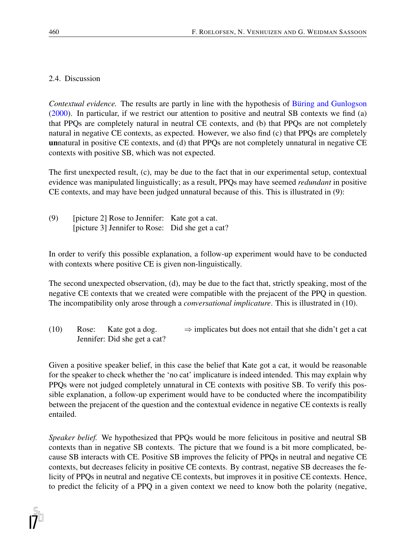#### 2.4. Discussion

*Contextual evidence.* The results are partly in line with the hypothesis of Büring and Gunlogson (2000). In particular, if we restrict our attention to positive and neutral SB contexts we find (a) that PPQs are completely natural in neutral CE contexts, and (b) that PPQs are not completely natural in negative CE contexts, as expected. However, we also find (c) that PPQs are completely unnatural in positive CE contexts, and (d) that PPQs are not completely unnatural in negative CE contexts with positive SB, which was not expected.

The first unexpected result, (c), may be due to the fact that in our experimental setup, contextual evidence was manipulated linguistically; as a result, PPQs may have seemed *redundant* in positive CE contexts, and may have been judged unnatural because of this. This is illustrated in (9):

(9) [picture 2] Rose to Jennifer: Kate got a cat. [picture 3] Jennifer to Rose: Did she get a cat?

In order to verify this possible explanation, a follow-up experiment would have to be conducted with contexts where positive CE is given non-linguistically.

The second unexpected observation, (d), may be due to the fact that, strictly speaking, most of the negative CE contexts that we created were compatible with the prejacent of the PPQ in question. The incompatibility only arose through a *conversational implicature*. This is illustrated in (10).

(10) Rose: Kate got a dog.  $\Rightarrow$  implicates but does not entail that she didn't get a cat Jennifer: Did she get a cat?

Given a positive speaker belief, in this case the belief that Kate got a cat, it would be reasonable for the speaker to check whether the 'no cat' implicature is indeed intended. This may explain why PPQs were not judged completely unnatural in CE contexts with positive SB. To verify this possible explanation, a follow-up experiment would have to be conducted where the incompatibility between the prejacent of the question and the contextual evidence in negative CE contexts is really entailed.

*Speaker belief.* We hypothesized that PPQs would be more felicitous in positive and neutral SB contexts than in negative SB contexts. The picture that we found is a bit more complicated, because SB interacts with CE. Positive SB improves the felicity of PPQs in neutral and negative CE contexts, but decreases felicity in positive CE contexts. By contrast, negative SB decreases the felicity of PPQs in neutral and negative CE contexts, but improves it in positive CE contexts. Hence, to predict the felicity of a PPQ in a given context we need to know both the polarity (negative,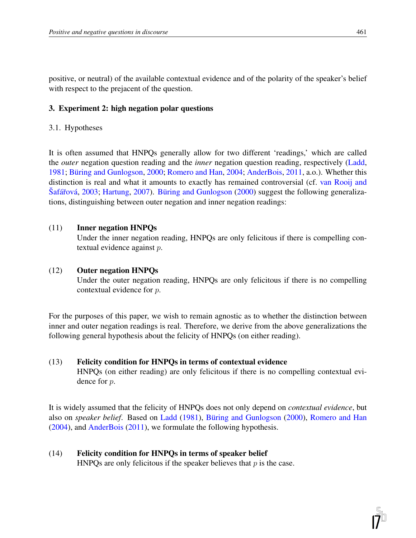positive, or neutral) of the available contextual evidence and of the polarity of the speaker's belief with respect to the prejacent of the question.

#### 3. Experiment 2: high negation polar questions

#### 3.1. Hypotheses

It is often assumed that HNPQs generally allow for two different 'readings,' which are called the *outer* negation question reading and the *inner* negation question reading, respectively (Ladd, 1981; Büring and Gunlogson, 2000; Romero and Han, 2004; AnderBois, 2011, a.o.). Whether this distinction is real and what it amounts to exactly has remained controversial (cf. van Rooij and Šafářová, 2003; Hartung, 2007). Büring and Gunlogson (2000) suggest the following generalizations, distinguishing between outer negation and inner negation readings:

#### (11) Inner negation HNPQs

Under the inner negation reading, HNPQs are only felicitous if there is compelling contextual evidence against p.

#### (12) Outer negation HNPQs

Under the outer negation reading, HNPQs are only felicitous if there is no compelling contextual evidence for p.

For the purposes of this paper, we wish to remain agnostic as to whether the distinction between inner and outer negation readings is real. Therefore, we derive from the above generalizations the following general hypothesis about the felicity of HNPQs (on either reading).

#### (13) Felicity condition for HNPQs in terms of contextual evidence

HNPQs (on either reading) are only felicitous if there is no compelling contextual evidence for p.

It is widely assumed that the felicity of HNPQs does not only depend on *contextual evidence*, but also on *speaker belief*. Based on Ladd (1981), Büring and Gunlogson (2000), Romero and Han (2004), and AnderBois (2011), we formulate the following hypothesis.

# (14) Felicity condition for HNPQs in terms of speaker belief

HNPQs are only felicitous if the speaker believes that  $p$  is the case.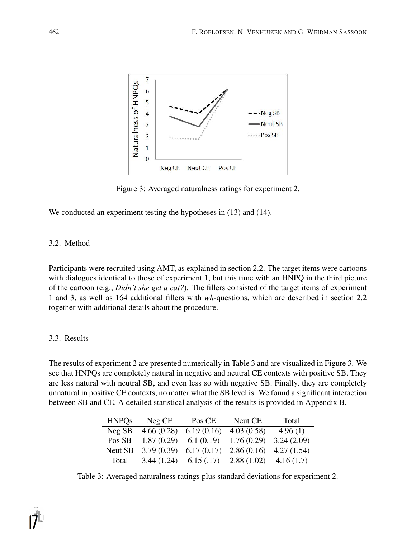

Figure 3: Averaged naturalness ratings for experiment 2.

We conducted an experiment testing the hypotheses in  $(13)$  and  $(14)$ .

# 3.2. Method

Participants were recruited using AMT, as explained in section 2.2. The target items were cartoons with dialogues identical to those of experiment 1, but this time with an HNPQ in the third picture of the cartoon (e.g., *Didn't she get a cat?*). The fillers consisted of the target items of experiment 1 and 3, as well as 164 additional fillers with *wh*-questions, which are described in section 2.2 together with additional details about the procedure.

# 3.3. Results

The results of experiment 2 are presented numerically in Table 3 and are visualized in Figure 3. We see that HNPQs are completely natural in negative and neutral CE contexts with positive SB. They are less natural with neutral SB, and even less so with negative SB. Finally, they are completely unnatural in positive CE contexts, no matter what the SB level is. We found a significant interaction between SB and CE. A detailed statistical analysis of the results is provided in Appendix B.

| <b>HNPQs</b> | Neg CE     | Pos CE     | Neut CE                      | Total      |
|--------------|------------|------------|------------------------------|------------|
| Neg SB       | 4.66(0.28) | 6.19(0.16) | 4.03(0.58)                   | 4.96(1)    |
| Pos SB       | 1.87(0.29) | 6.1(0.19)  | 1.76(0.29)                   | 3.24(2.09) |
| Neut SB      | 3.79(0.39) | 6.17(0.17) | 2.86(0.16)                   | 4.27(1.54) |
| Total        | 3.44(1.24) | 6.15(.17)  | 2.88 $(1.02)$   4.16 $(1.7)$ |            |

Table 3: Averaged naturalness ratings plus standard deviations for experiment 2.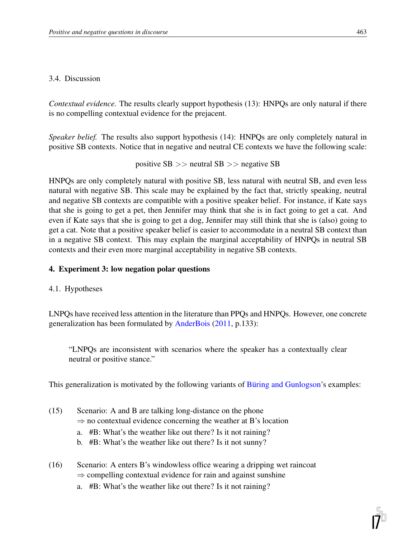#### 3.4. Discussion

*Contextual evidence.* The results clearly support hypothesis (13): HNPQs are only natural if there is no compelling contextual evidence for the prejacent.

*Speaker belief.* The results also support hypothesis (14): HNPQs are only completely natural in positive SB contexts. Notice that in negative and neutral CE contexts we have the following scale:

```
positive SB >> neutral SB >> negative SB
```
HNPQs are only completely natural with positive SB, less natural with neutral SB, and even less natural with negative SB. This scale may be explained by the fact that, strictly speaking, neutral and negative SB contexts are compatible with a positive speaker belief. For instance, if Kate says that she is going to get a pet, then Jennifer may think that she is in fact going to get a cat. And even if Kate says that she is going to get a dog, Jennifer may still think that she is (also) going to get a cat. Note that a positive speaker belief is easier to accommodate in a neutral SB context than in a negative SB context. This may explain the marginal acceptability of HNPQs in neutral SB contexts and their even more marginal acceptability in negative SB contexts.

# 4. Experiment 3: low negation polar questions

4.1. Hypotheses

LNPQs have received less attention in the literature than PPQs and HNPQs. However, one concrete generalization has been formulated by AnderBois (2011, p.133):

"LNPQs are inconsistent with scenarios where the speaker has a contextually clear neutral or positive stance."

This generalization is motivated by the following variants of Buring and Gunlogson's examples:

- (15) Scenario: A and B are talking long-distance on the phone  $\Rightarrow$  no contextual evidence concerning the weather at B's location
	- a. #B: What's the weather like out there? Is it not raining?
	- b. #B: What's the weather like out there? Is it not sunny?
- (16) Scenario: A enters B's windowless office wearing a dripping wet raincoat  $\Rightarrow$  compelling contextual evidence for rain and against sunshine
	- a. #B: What's the weather like out there? Is it not raining?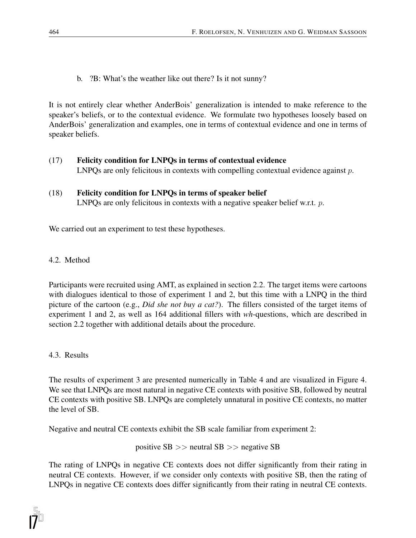b. ?B: What's the weather like out there? Is it not sunny?

It is not entirely clear whether AnderBois' generalization is intended to make reference to the speaker's beliefs, or to the contextual evidence. We formulate two hypotheses loosely based on AnderBois' generalization and examples, one in terms of contextual evidence and one in terms of speaker beliefs.

- (17) Felicity condition for LNPQs in terms of contextual evidence LNPQs are only felicitous in contexts with compelling contextual evidence against  $p$ .
- (18) Felicity condition for LNPQs in terms of speaker belief LNPQs are only felicitous in contexts with a negative speaker belief w.r.t. p.

We carried out an experiment to test these hypotheses.

4.2. Method

Participants were recruited using AMT, as explained in section 2.2. The target items were cartoons with dialogues identical to those of experiment 1 and 2, but this time with a LNPQ in the third picture of the cartoon (e.g., *Did she not buy a cat?*). The fillers consisted of the target items of experiment 1 and 2, as well as 164 additional fillers with *wh*-questions, which are described in section 2.2 together with additional details about the procedure.

4.3. Results

The results of experiment 3 are presented numerically in Table 4 and are visualized in Figure 4. We see that LNPQs are most natural in negative CE contexts with positive SB, followed by neutral CE contexts with positive SB. LNPQs are completely unnatural in positive CE contexts, no matter the level of SB.

Negative and neutral CE contexts exhibit the SB scale familiar from experiment 2:

positive SB >> neutral SB >> negative SB

The rating of LNPQs in negative CE contexts does not differ significantly from their rating in neutral CE contexts. However, if we consider only contexts with positive SB, then the rating of LNPQs in negative CE contexts does differ significantly from their rating in neutral CE contexts.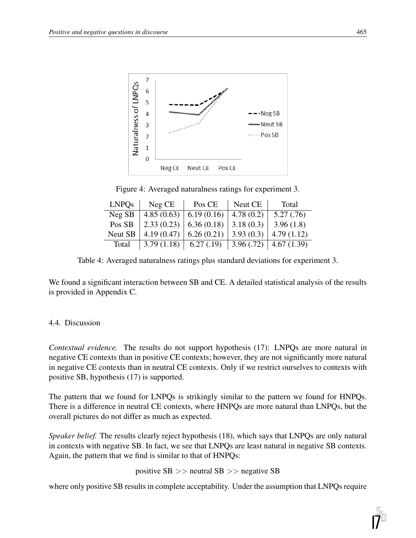

Figure 4: Averaged naturalness ratings for experiment 3.

| <b>LNPOs</b> | Neg CE     | Pos CE                              | Neut CE   | Total                    |
|--------------|------------|-------------------------------------|-----------|--------------------------|
| Neg SB       | 4.85(0.63) | 6.19(0.16)                          | 4.78(0.2) | 5.27(.76)                |
| Pos SB       |            | $2.33(0.23)$ 6.36 (0.18) 3.18 (0.3) |           | 3.96(1.8)                |
| Neut SB      | 4.19(0.47) | 6.26(0.21)                          | 3.93(0.3) | 4.79(1.12)               |
| Total        | 3.79(1.18) | 6.27(0.19)                          | 3.96(.72) | $\vert 4.67(1.39) \vert$ |

Table 4: Averaged naturalness ratings plus standard deviations for experiment 3.

We found a significant interaction between SB and CE. A detailed statistical analysis of the results is provided in Appendix C.

# 4.4. Discussion

*Contextual evidence.* The results do not support hypothesis (17): LNPQs are more natural in negative CE contexts than in positive CE contexts; however, they are not significantly more natural in negative CE contexts than in neutral CE contexts. Only if we restrict ourselves to contexts with positive SB, hypothesis (17) is supported.

The pattern that we found for LNPQs is strikingly similar to the pattern we found for HNPQs. There is a difference in neutral CE contexts, where HNPQs are more natural than LNPQs, but the overall pictures do not differ as much as expected.

*Speaker belief.* The results clearly reject hypothesis (18), which says that LNPQs are only natural in contexts with negative SB. In fact, we see that LNPQs are least natural in negative SB contexts. Again, the pattern that we find is similar to that of HNPQs:

positive SB >> neutral SB >> negative SB

where only positive SB results in complete acceptability. Under the assumption that LNPQs require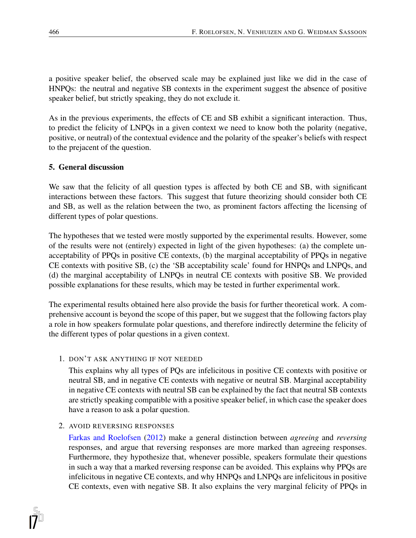a positive speaker belief, the observed scale may be explained just like we did in the case of HNPQs: the neutral and negative SB contexts in the experiment suggest the absence of positive speaker belief, but strictly speaking, they do not exclude it.

As in the previous experiments, the effects of CE and SB exhibit a significant interaction. Thus, to predict the felicity of LNPQs in a given context we need to know both the polarity (negative, positive, or neutral) of the contextual evidence and the polarity of the speaker's beliefs with respect to the prejacent of the question.

# 5. General discussion

We saw that the felicity of all question types is affected by both CE and SB, with significant interactions between these factors. This suggest that future theorizing should consider both CE and SB, as well as the relation between the two, as prominent factors affecting the licensing of different types of polar questions.

The hypotheses that we tested were mostly supported by the experimental results. However, some of the results were not (entirely) expected in light of the given hypotheses: (a) the complete unacceptability of PPQs in positive CE contexts, (b) the marginal acceptability of PPQs in negative CE contexts with positive SB, (c) the 'SB acceptability scale' found for HNPQs and LNPQs, and (d) the marginal acceptability of LNPQs in neutral CE contexts with positive SB. We provided possible explanations for these results, which may be tested in further experimental work.

The experimental results obtained here also provide the basis for further theoretical work. A comprehensive account is beyond the scope of this paper, but we suggest that the following factors play a role in how speakers formulate polar questions, and therefore indirectly determine the felicity of the different types of polar questions in a given context.

# 1. DON'T ASK ANYTHING IF NOT NEEDED

This explains why all types of PQs are infelicitous in positive CE contexts with positive or neutral SB, and in negative CE contexts with negative or neutral SB. Marginal acceptability in negative CE contexts with neutral SB can be explained by the fact that neutral SB contexts are strictly speaking compatible with a positive speaker belief, in which case the speaker does have a reason to ask a polar question.

# 2. AVOID REVERSING RESPONSES

Farkas and Roelofsen (2012) make a general distinction between *agreeing* and *reversing* responses, and argue that reversing responses are more marked than agreeing responses. Furthermore, they hypothesize that, whenever possible, speakers formulate their questions in such a way that a marked reversing response can be avoided. This explains why PPQs are infelicitous in negative CE contexts, and why HNPQs and LNPQs are infelicitous in positive CE contexts, even with negative SB. It also explains the very marginal felicity of PPQs in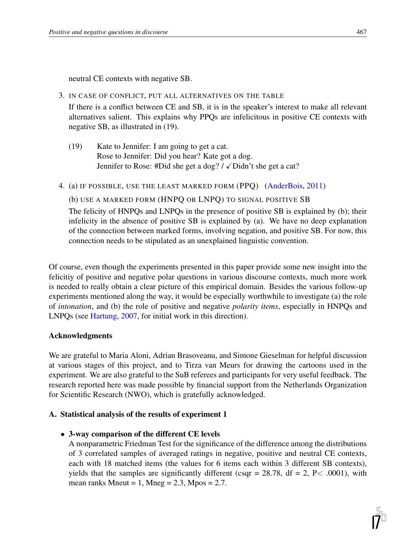neutral CE contexts with negative SB.

3. IN CASE OF CONFLICT, PUT ALL ALTERNATIVES ON THE TABLE

If there is a conflict between CE and SB, it is in the speaker's interest to make all relevant alternatives salient. This explains why PPQs are infelicitous in positive CE contexts with negative SB, as illustrated in (19).

- (19) Kate to Jennifer: I am going to get a cat. Rose to Jennifer: Did you hear? Kate got a dog. Jennifer to Rose: #Did she get a dog? /  $\sqrt{\text{Didn}}$ 't she get a cat?
- 4. (a) IF POSSIBLE, USE THE LEAST MARKED FORM (PPQ) (AnderBois, 2011)

(b) USE A MARKED FORM (HNPQ OR LNPQ) TO SIGNAL POSITIVE SB

The felicity of HNPQs and LNPQs in the presence of positive SB is explained by (b); their infelicity in the absence of positive SB is explained by (a). We have no deep explanation of the connection between marked forms, involving negation, and positive SB. For now, this connection needs to be stipulated as an unexplained linguistic convention.

Of course, even though the experiments presented in this paper provide some new insight into the felicitiy of positive and negative polar questions in various discourse contexts, much more work is needed to really obtain a clear picture of this empirical domain. Besides the various follow-up experiments mentioned along the way, it would be especially worthwhile to investigate (a) the role of *intonation*, and (b) the role of positive and negative *polarity items*, especially in HNPQs and LNPQs (see Hartung, 2007, for initial work in this direction).

#### Acknowledgments

We are grateful to Maria Aloni, Adrian Brasoveanu, and Simone Gieselman for helpful discussion at various stages of this project, and to Tirza van Meurs for drawing the cartoons used in the experiment. We are also grateful to the SuB referees and participants for very useful feedback. The research reported here was made possible by financial support from the Netherlands Organization for Scientific Research (NWO), which is gratefully acknowledged.

#### A. Statistical analysis of the results of experiment 1

• 3-way comparison of the different CE levels

A nonparametric Friedman Test for the significance of the difference among the distributions of 3 correlated samples of averaged ratings in negative, positive and neutral CE contexts, each with 18 matched items (the values for 6 items each within 3 different SB contexts), yields that the samples are significantly different (csqr = 28.78, df = 2, P < .0001), with mean ranks Mneut = 1, Mneg =  $2.3$ , Mpos =  $2.7$ .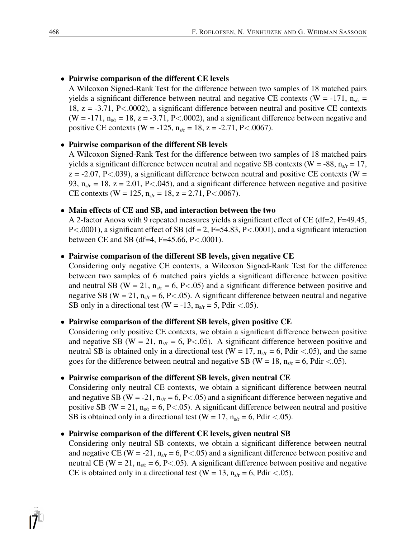• Pairwise comparison of the different CE levels

A Wilcoxon Signed-Rank Test for the difference between two samples of 18 matched pairs yields a significant difference between neutral and negative CE contexts (W = -171,  $n_{s/r}$  = 18, z = -3.71, P<.0002), a significant difference between neutral and positive CE contexts (W =  $-171$ ,  $n_{s/r} = 18$ ,  $z = -3.71$ , P<.0002), and a significant difference between negative and positive CE contexts (W = -125,  $n_{str} = 18$ , z = -2.71, P<.0067).

#### • Pairwise comparison of the different SB levels

A Wilcoxon Signed-Rank Test for the difference between two samples of 18 matched pairs yields a significant difference between neutral and negative SB contexts ( $W = -88$ ,  $n<sub>s/r</sub> = 17$ ,  $z = -2.07$ , P<.039), a significant difference between neutral and positive CE contexts (W = 93,  $n_{s/r} = 18$ ,  $z = 2.01$ , P<.045), and a significant difference between negative and positive CE contexts (W = 125,  $n_{s/r}$  = 18, z = 2.71, P<.0067).

#### • Main effects of CE and SB, and interaction between the two

A 2-factor Anova with 9 repeated measures yields a significant effect of CE (df=2, F=49.45,  $P<.0001$ ), a significant effect of SB (df = 2, F=54.83, P $<.0001$ ), and a significant interaction between CE and SB (df=4, F=45.66, P<.0001).

#### • Pairwise comparison of the different SB levels, given negative CE

Considering only negative CE contexts, a Wilcoxon Signed-Rank Test for the difference between two samples of 6 matched pairs yields a significant difference between positive and neutral SB (W = 21,  $n_{s/r} = 6$ , P<.05) and a significant difference between positive and negative SB (W = 21,  $n_{s/r}$  = 6, P < 0.05). A significant difference between neutral and negative SB only in a directional test (W = -13,  $n_{s/r}$  = 5, Pdir <.05).

#### • Pairwise comparison of the different SB levels, given positive CE

Considering only positive CE contexts, we obtain a significant difference between positive and negative SB (W = 21,  $n_{s/r}$  = 6, P<.05). A significant difference between positive and neutral SB is obtained only in a directional test (W = 17,  $n_{s/r}$  = 6, Pdir <.05), and the same goes for the difference between neutral and negative SB (W = 18,  $n_{s/r}$  = 6, Pdir <.05).

#### • Pairwise comparison of the different SB levels, given neutral CE

Considering only neutral CE contexts, we obtain a significant difference between neutral and negative SB (W = -21,  $n_{s/r}$  = 6, P < 0.05) and a significant difference between negative and positive SB (W = 21,  $n_{s/r}$  = 6, P < 0.05). A significant difference between neutral and positive SB is obtained only in a directional test (W = 17,  $n_{s/r}$  = 6, Pdir <.05).

#### • Pairwise comparison of the different CE levels, given neutral SB

Considering only neutral SB contexts, we obtain a significant difference between neutral and negative CE (W = -21,  $n_{s/r}$  = 6, P < 0.05) and a significant difference between positive and neutral CE (W = 21,  $n_{s/r}$  = 6, P < 0.05). A significant difference between positive and negative CE is obtained only in a directional test (W = 13,  $n_{s/r}$  = 6, Pdir <.05).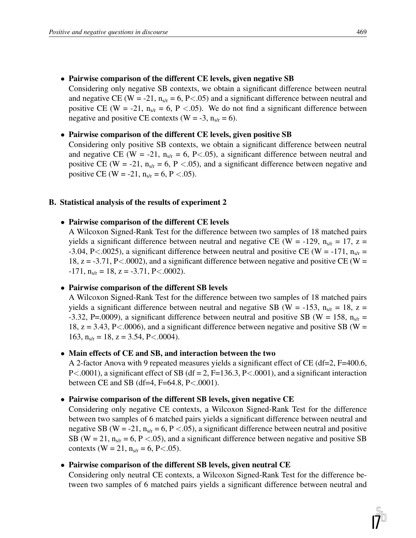• Pairwise comparison of the different CE levels, given negative SB

Considering only negative SB contexts, we obtain a significant difference between neutral and negative CE (W = -21,  $n_{s/r}$  = 6, P < 0.05) and a significant difference between neutral and positive CE (W = -21,  $n_{s/r}$  = 6, P < 05). We do not find a significant difference between negative and positive CE contexts (W = -3,  $n_{s/r} = 6$ ).

#### • Pairwise comparison of the different CE levels, given positive SB

Considering only positive SB contexts, we obtain a significant difference between neutral and negative CE (W = -21,  $n_{s/r}$  = 6, P < 0.05), a significant difference between neutral and positive CE (W = -21,  $n_{s/r}$  = 6, P < 0.05), and a significant difference between negative and positive CE (W = -21,  $n_{s/r} = 6$ , P < .05).

#### B. Statistical analysis of the results of experiment 2

#### • Pairwise comparison of the different CE levels

A Wilcoxon Signed-Rank Test for the difference between two samples of 18 matched pairs yields a significant difference between neutral and negative CE (W = -129,  $n_{s/r} = 17$ , z = -3.04, P<.0025), a significant difference between neutral and positive CE (W = -171,  $n_{s/r}$  = 18,  $z = -3.71$ , P<.0002), and a significant difference between negative and positive CE (W =  $-171$ ,  $n_{s/r} = 18$ ,  $z = -3.71$ ,  $P < .0002$ ).

#### • Pairwise comparison of the different SB levels

A Wilcoxon Signed-Rank Test for the difference between two samples of 18 matched pairs yields a significant difference between neutral and negative SB (W = -153,  $n_{s/r} = 18$ , z = -3.32, P=.0009), a significant difference between neutral and positive SB (W = 158,  $n_{str}$  = 18,  $z = 3.43$ , P<.0006), and a significant difference between negative and positive SB (W = 163,  $n_{s/r} = 18$ ,  $z = 3.54$ ,  $P < .0004$ ).

#### • Main effects of CE and SB, and interaction between the two

A 2-factor Anova with 9 repeated measures yields a significant effect of CE (df=2, F=400.6,  $P<.0001$ ), a significant effect of SB (df = 2, F=136.3, P $<.0001$ ), and a significant interaction between CE and SB (df=4, F=64.8, P<.0001).

#### • Pairwise comparison of the different SB levels, given negative CE

Considering only negative CE contexts, a Wilcoxon Signed-Rank Test for the difference between two samples of 6 matched pairs yields a significant difference between neutral and negative SB (W = -21,  $n_{s/r}$  = 6, P < 0.05), a significant difference between neutral and positive SB (W = 21,  $n_{s/r}$  = 6, P <.05), and a significant difference between negative and positive SB contexts (W = 21,  $n_{s/r}$  = 6, P<.05).

#### • Pairwise comparison of the different SB levels, given neutral CE

Considering only neutral CE contexts, a Wilcoxon Signed-Rank Test for the difference between two samples of 6 matched pairs yields a significant difference between neutral and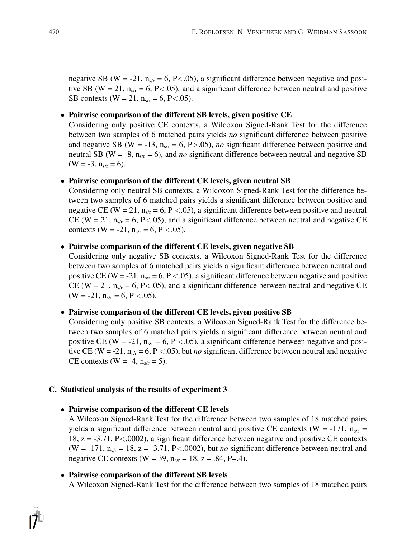negative SB (W = -21,  $n_{s/r}$  = 6, P < 05), a significant difference between negative and positive SB (W = 21,  $n_{s/r}$  = 6, P<.05), and a significant difference between neutral and positive SB contexts (W = 21,  $n_{s/r}$  = 6, P < 05).

#### • Pairwise comparison of the different SB levels, given positive CE

Considering only positive CE contexts, a Wilcoxon Signed-Rank Test for the difference between two samples of 6 matched pairs yields *no* significant difference between positive and negative SB (W = -13,  $n_{s/r}$  = 6, P > 05), *no* significant difference between positive and neutral SB (W = -8,  $n_{s/r}$  = 6), and *no* significant difference between neutral and negative SB  $(W = -3, n_{s/r} = 6).$ 

#### • Pairwise comparison of the different CE levels, given neutral SB

Considering only neutral SB contexts, a Wilcoxon Signed-Rank Test for the difference between two samples of 6 matched pairs yields a significant difference between positive and negative CE (W = 21,  $n_{s/r}$  = 6, P < 05), a significant difference between positive and neutral CE (W = 21,  $n_{s/r}$  = 6, P<.05), and a significant difference between neutral and negative CE contexts (W = -21,  $n_{s/r}$  = 6, P < 05).

#### • Pairwise comparison of the different CE levels, given negative SB

Considering only negative SB contexts, a Wilcoxon Signed-Rank Test for the difference between two samples of 6 matched pairs yields a significant difference between neutral and positive CE (W = -21,  $n_{s/r}$  = 6, P < .05), a significant difference between negative and positive CE (W = 21,  $n_{s/r}$  = 6, P < 0.05), and a significant difference between neutral and negative CE  $(W = -21, n_{s/r} = 6, P < .05).$ 

#### • Pairwise comparison of the different CE levels, given positive SB

Considering only positive SB contexts, a Wilcoxon Signed-Rank Test for the difference between two samples of 6 matched pairs yields a significant difference between neutral and positive CE (W = -21,  $n_{s/r}$  = 6, P < 05), a significant difference between negative and positive CE (W = -21,  $n_{s/r}$  = 6, P < .05), but *no* significant difference between neutral and negative CE contexts (W = -4,  $n_{s/r}$  = 5).

#### C. Statistical analysis of the results of experiment 3

#### • Pairwise comparison of the different CE levels

A Wilcoxon Signed-Rank Test for the difference between two samples of 18 matched pairs yields a significant difference between neutral and positive CE contexts (W = -171,  $n_{s/r}$  = 18, z = -3.71, P<.0002), a significant difference between negative and positive CE contexts (W =  $-171$ ,  $n_{s/r} = 18$ ,  $z = -3.71$ , P<.0002), but *no* significant difference between neutral and negative CE contexts (W = 39,  $n_{s/r}$  = 18, z = .84, P=.4).

#### • Pairwise comparison of the different SB levels

A Wilcoxon Signed-Rank Test for the difference between two samples of 18 matched pairs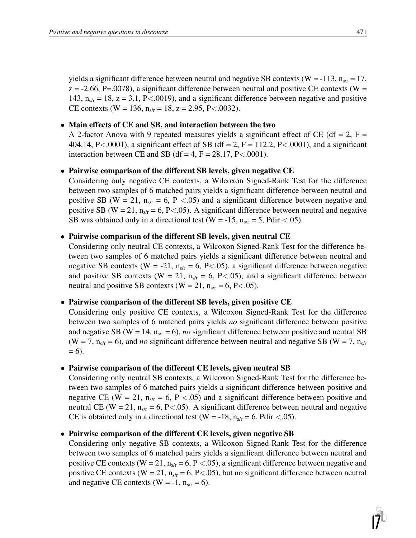yields a significant difference between neutral and negative SB contexts (W = -113,  $n_{s/r} = 17$ ,  $z = -2.66$ , P=.0078), a significant difference between neutral and positive CE contexts (W = 143,  $n_{s/r} = 18$ ,  $z = 3.1$ , P<.0019), and a significant difference between negative and positive CE contexts (W = 136,  $n_{s/r}$  = 18, z = 2.95, P<.0032).

#### • Main effects of CE and SB, and interaction between the two

A 2-factor Anova with 9 repeated measures yields a significant effect of CE (df = 2, F = 404.14, P<.0001), a significant effect of SB (df = 2, F = 112.2, P<.0001), and a significant interaction between CE and SB (df = 4,  $F = 28.17$ ,  $P < .0001$ ).

#### • Pairwise comparison of the different SB levels, given negative CE

Considering only negative CE contexts, a Wilcoxon Signed-Rank Test for the difference between two samples of 6 matched pairs yields a significant difference between neutral and positive SB (W = 21,  $n_{s/r}$  = 6, P < 0.05) and a significant difference between negative and positive SB (W = 21,  $n_{s/r}$  = 6, P < 05). A significant difference between neutral and negative SB was obtained only in a directional test (W = -15,  $n_{s/r}$  = 5, Pdir <.05).

#### • Pairwise comparison of the different SB levels, given neutral CE

Considering only neutral CE contexts, a Wilcoxon Signed-Rank Test for the difference between two samples of 6 matched pairs yields a significant difference between neutral and negative SB contexts (W = -21,  $n_{s/r}$  = 6, P<.05), a significant difference between negative and positive SB contexts (W = 21,  $n_{s/r}$  = 6, P<.05), and a significant difference between neutral and positive SB contexts (W = 21,  $n_{s/r}$  = 6, P<.05).

#### • Pairwise comparison of the different SB levels, given positive CE

Considering only positive CE contexts, a Wilcoxon Signed-Rank Test for the difference between two samples of 6 matched pairs yields *no* significant difference between positive and negative SB ( $W = 14$ ,  $n_{s/r} = 6$ ), *no* significant difference between positive and neutral SB (W = 7,  $n_{s/r}$  = 6), and *no* significant difference between neutral and negative SB (W = 7,  $n_{s/r}$  $= 6$ ).

#### • Pairwise comparison of the different CE levels, given neutral SB

Considering only neutral SB contexts, a Wilcoxon Signed-Rank Test for the difference between two samples of 6 matched pairs yields a significant difference between positive and negative CE (W = 21,  $n_{s/r}$  = 6, P < 0.05) and a significant difference between positive and neutral CE (W = 21,  $n_{s/r}$  = 6, P<.05). A significant difference between neutral and negative CE is obtained only in a directional test (W = -18,  $n_{s/r}$  = 6, Pdir <.05).

#### • Pairwise comparison of the different CE levels, given negative SB

Considering only negative SB contexts, a Wilcoxon Signed-Rank Test for the difference between two samples of 6 matched pairs yields a significant difference between neutral and positive CE contexts (W = 21,  $n_{str}$  = 6, P < 05), a significant difference between negative and positive CE contexts (W = 21,  $n_{s/r}$  = 6, P < 0.05), but no significant difference between neutral and negative CE contexts (W = -1,  $n_{s/r} = 6$ ).